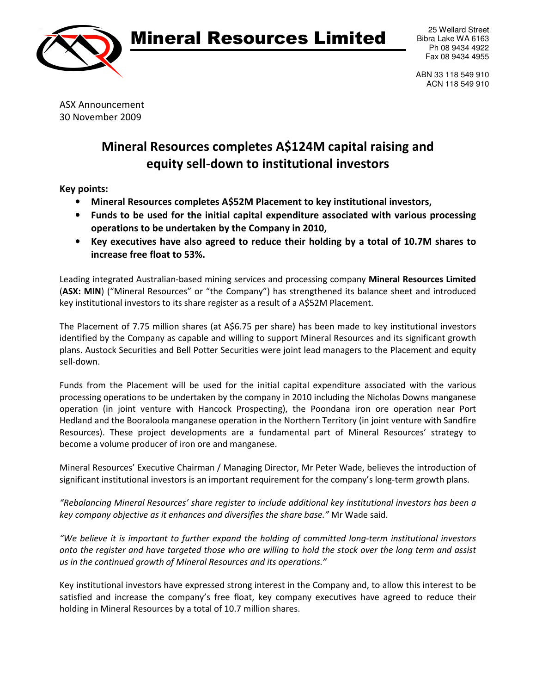

## Mineral Resources Limited

ABN 33 118 549 910 ACN 118 549 910

ASX Announcement 30 November 2009

## Mineral Resources completes A\$124M capital raising and equity sell-down to institutional investors

Key points:

- Mineral Resources completes A\$52M Placement to key institutional investors,
- Funds to be used for the initial capital expenditure associated with various processing operations to be undertaken by the Company in 2010,
- Key executives have also agreed to reduce their holding by a total of 10.7M shares to increase free float to 53%.

Leading integrated Australian-based mining services and processing company Mineral Resources Limited (ASX: MIN) ("Mineral Resources" or "the Company") has strengthened its balance sheet and introduced key institutional investors to its share register as a result of a A\$52M Placement.

The Placement of 7.75 million shares (at A\$6.75 per share) has been made to key institutional investors identified by the Company as capable and willing to support Mineral Resources and its significant growth plans. Austock Securities and Bell Potter Securities were joint lead managers to the Placement and equity sell-down.

Funds from the Placement will be used for the initial capital expenditure associated with the various processing operations to be undertaken by the company in 2010 including the Nicholas Downs manganese operation (in joint venture with Hancock Prospecting), the Poondana iron ore operation near Port Hedland and the Booraloola manganese operation in the Northern Territory (in joint venture with Sandfire Resources). These project developments are a fundamental part of Mineral Resources' strategy to become a volume producer of iron ore and manganese.

Mineral Resources' Executive Chairman / Managing Director, Mr Peter Wade, believes the introduction of significant institutional investors is an important requirement for the company's long-term growth plans.

"Rebalancing Mineral Resources' share register to include additional key institutional investors has been a key company objective as it enhances and diversifies the share base." Mr Wade said.

"We believe it is important to further expand the holding of committed long-term institutional investors onto the register and have targeted those who are willing to hold the stock over the long term and assist us in the continued growth of Mineral Resources and its operations."

Key institutional investors have expressed strong interest in the Company and, to allow this interest to be satisfied and increase the company's free float, key company executives have agreed to reduce their holding in Mineral Resources by a total of 10.7 million shares.